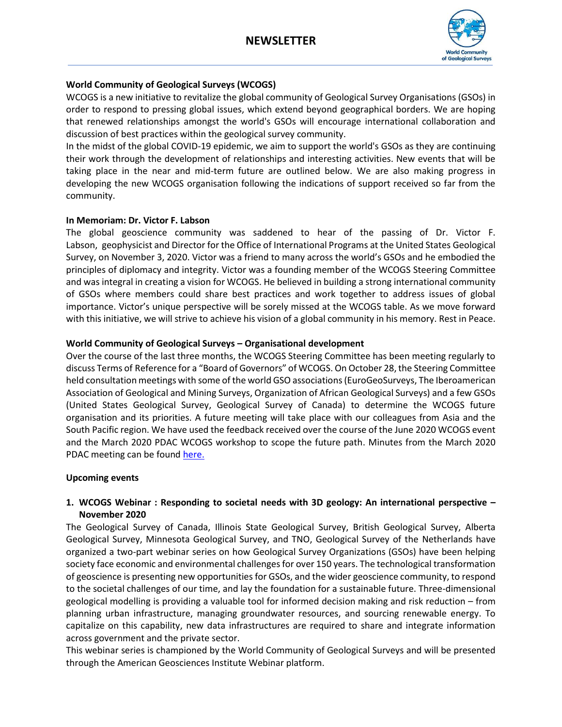

# **World Community of Geological Surveys (WCOGS)**

WCOGS is a new initiative to revitalize the global community of Geological Survey Organisations (GSOs) in order to respond to pressing global issues, which extend beyond geographical borders. We are hoping that renewed relationships amongst the world's GSOs will encourage international collaboration and discussion of best practices within the geological survey community.

In the midst of the global COVID-19 epidemic, we aim to support the world's GSOs as they are continuing their work through the development of relationships and interesting activities. New events that will be taking place in the near and mid-term future are outlined below. We are also making progress in developing the new WCOGS organisation following the indications of support received so far from the community.

#### **In Memoriam: Dr. Victor F. Labson**

The global geoscience community was saddened to hear of the passing of Dr. Victor F. Labson, geophysicist and Director for the Office of International Programs at the United States Geological Survey, on November 3, 2020. Victor was a friend to many across the world's GSOs and he embodied the principles of diplomacy and integrity. Victor was a founding member of the WCOGS Steering Committee and was integral in creating a vision for WCOGS. He believed in building a strong international community of GSOs where members could share best practices and work together to address issues of global importance. Victor's unique perspective will be sorely missed at the WCOGS table. As we move forward with this initiative, we will strive to achieve his vision of a global community in his memory. Rest in Peace.

## **World Community of Geological Surveys – Organisational development**

Over the course of the last three months, the WCOGS Steering Committee has been meeting regularly to discuss Terms of Reference for a "Board of Governors" of WCOGS. On October 28, the Steering Committee held consultation meetings with some of the world GSO associations (EuroGeoSurveys, The Iberoamerican Association of Geological and Mining Surveys, Organization of African Geological Surveys) and a few GSOs (United States Geological Survey, Geological Survey of Canada) to determine the WCOGS future organisation and its priorities. A future meeting will take place with our colleagues from Asia and the South Pacific region. We have used the feedback received over the course of the June 2020 WCOGS event and the March 2020 PDAC WCOGS workshop to scope the future path. Minutes from the March 2020 PDAC meeting can be found [here.](https://drive.google.com/drive/folders/16EJoILRfPExNJgTPT6A9feSs2y5a4jbE?usp=sharing)

#### **Upcoming events**

### **1. WCOGS Webinar : Responding to societal needs with 3D geology: An international perspective – November 2020**

The Geological Survey of Canada, Illinois State Geological Survey, British Geological Survey, Alberta Geological Survey, Minnesota Geological Survey, and TNO, Geological Survey of the Netherlands have organized a two-part webinar series on how Geological Survey Organizations (GSOs) have been helping society face economic and environmental challenges for over 150 years. The technological transformation of geoscience is presenting new opportunities for GSOs, and the wider geoscience community, to respond to the societal challenges of our time, and lay the foundation for a sustainable future. Three-dimensional geological modelling is providing a valuable tool for informed decision making and risk reduction – from planning urban infrastructure, managing groundwater resources, and sourcing renewable energy. To capitalize on this capability, new data infrastructures are required to share and integrate information across government and the private sector.

This webinar series is championed by the World Community of Geological Surveys and will be presented through the American Geosciences Institute Webinar platform.